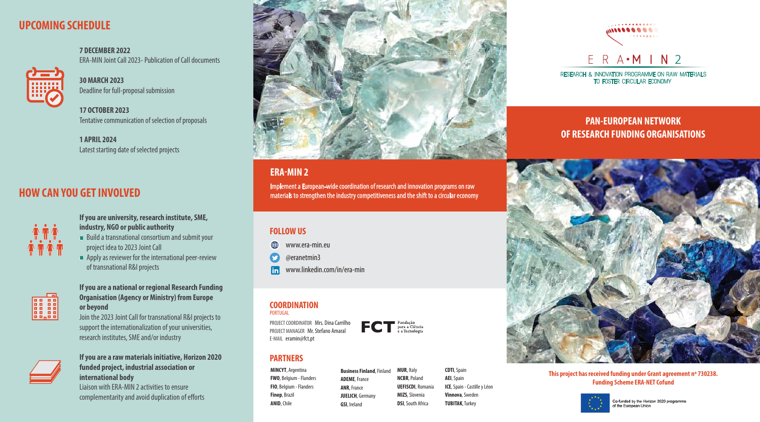# **UPCOMING SCHEDULE**

**HI!** 

**7 DECEMBER 2022** ERA-MIN Joint Call 2023- Publication of Call documents

**30 MARCH 2023** Deadline for full-proposal submission

17 OCTOBER 2023 Tentative communication of selection of proposals

**1 APRIL 2024** Latest starting date of selected projects

## **PAN-EUROPEAN NETWORK OF RESEARCH FUNDING ORGANISATIONS**



### **FOLLOW US**

- ⊕ www.era-min.eu
- @eranetmin3  $\bullet$
- www.linkedin.com/in/era-min  $\vert$ in $\vert$

## **COORDINATION**

### **ERA-MIN 2**

Implement a European-wide coordination of research and innovation programs on raw materials to strengthen the industry competitiveness and the shift to a circular economy

- Build a transnational consortium and submit your project idea to 2023 Joint Call
- $\blacksquare$  Apply as reviewer for the international peer-review of transnational R&I projects



#### **If you are university, research institute, SME, industry, NGO or public authority**

Liaison with ERA-MIN 2 activities to ensure complementarity and avoid duplication of efforts



#### **If you are a national or regional Research Funding Organisation (Agency or Ministry) from Europe or beyond**

Join the 2023 Joint Call for transnational R&I projects to support the internationalization of your universities, research institutes, SME and/or industry



#### **If you are a raw materials initiative, Horizon 2020 funded project, industrial association or international body**

## **HOW CAN YOU GET INVOLVED**



PORTUGAL

PROJECT COORDINATOR Mrs. Dina Carrilho PROJECT MANAGER Mr. Stefano Amaral E-MAIL eramin@fct.pt

### **PARTNERS**

**MINCYT**, Argentina **FWO**, Belgium - Flanders **FIO**, Belgium - Flanders **Finep**, Brazil **ANID**, Chile



**Business Finland**, Finland

**ADEME**, France **ANR**, France **JUELICH**, Germany **GSI**, Ireland

**MUR**, Italy **NCBR**, Poland **UEFISCDI**, Romania **MIZS**, Slovenia **DSI**, South Africa

**CDTI**, Spain **AEI**, Spain **ICE**, Spain - Castille y Léon **Vinnova**, Sweden **TUBITAK**, Turkey



RESEARCH & INNOVATION PROGRAMME ON RAW MATERIALS TO FOSTER CIRCULAR ECONOMY

**This project has received funding under Grant agreement nº 730238. Funding Scheme ERA-NET Cofund**